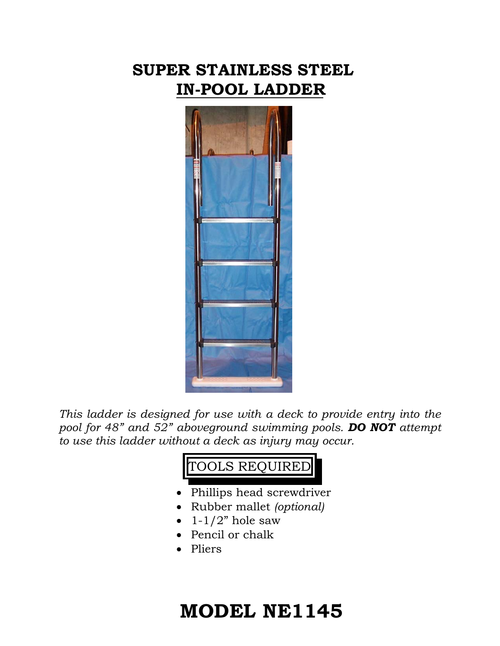## **SUPER STAINLESS STEEL IN-POOL LADDER**



*This ladder is designed for use with a deck to provide entry into the pool for 48" and 52" aboveground swimming pools. DO NOT attempt to use this ladder without a deck as injury may occur.* 



- Rubber mallet *(optional)*
- $\bullet$  1-1/2" hole saw
- Pencil or chalk
- Pliers

## **MODEL NE1145**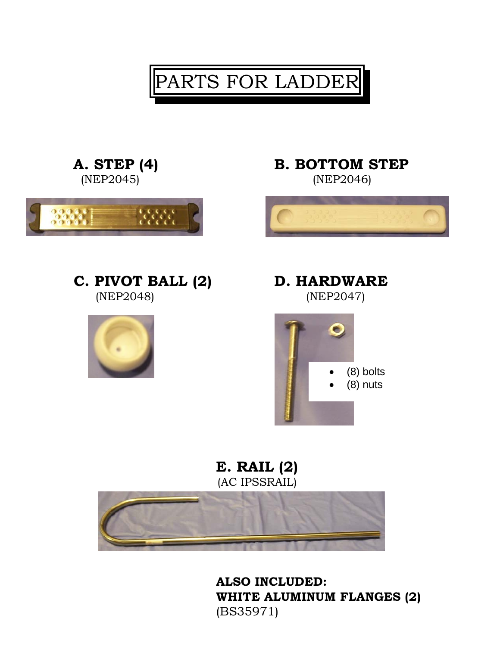PARTS FOR LADDER

A. STEP (4) B. BOTTOM STEP







**E. RAIL (2)**  (AC IPSSRAIL)



**ALSO INCLUDED: WHITE ALUMINUM FLANGES (2)** (BS35971)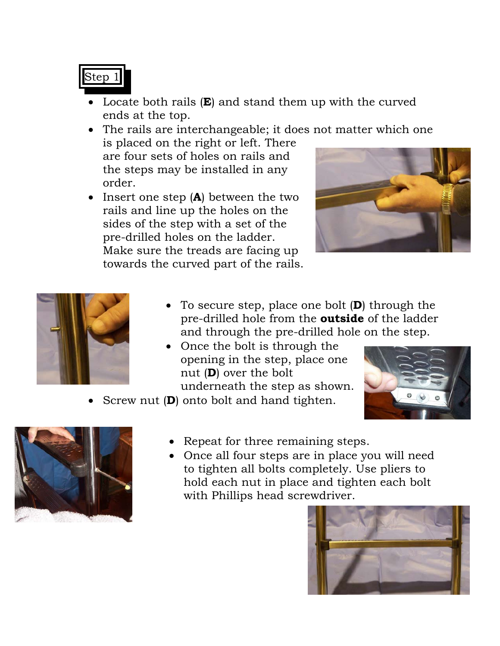## Step 1

• Locate both rails (**E**) and stand them up with the curved ends at the top.

• The rails are interchangeable; it does not matter which one

is placed on the right or left. There are four sets of holes on rails and the steps may be installed in any order.

• Insert one step (**A**) between the two rails and line up the holes on the sides of the step with a set of the pre-drilled holes on the ladder. Make sure the treads are facing up towards the curved part of the rails.





- To secure step, place one bolt (**D**) through the pre-drilled hole from the **outside** of the ladder and through the pre-drilled hole on the step.
- Once the bolt is through the opening in the step, place one nut (**D**) over the bolt underneath the step as shown.



• Screw nut (**D**) onto bolt and hand tighten.



- Repeat for three remaining steps.
- Once all four steps are in place you will need to tighten all bolts completely. Use pliers to hold each nut in place and tighten each bolt with Phillips head screwdriver.

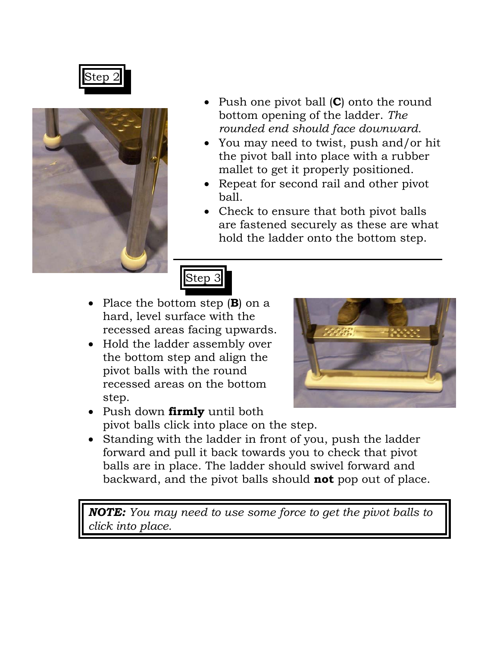Step 2



- Push one pivot ball (**C**) onto the round bottom opening of the ladder. *The rounded end should face downward.*
- You may need to twist, push and/or hit the pivot ball into place with a rubber mallet to get it properly positioned.
- Repeat for second rail and other pivot ball.
- Check to ensure that both pivot balls are fastened securely as these are what hold the ladder onto the bottom step.



- Place the bottom step (**B**) on a hard, level surface with the recessed areas facing upwards.
- Hold the ladder assembly over the bottom step and align the pivot balls with the round recessed areas on the bottom step.



- Push down **firmly** until both pivot balls click into place on the step.
- Standing with the ladder in front of you, push the ladder forward and pull it back towards you to check that pivot balls are in place. The ladder should swivel forward and backward, and the pivot balls should **not** pop out of place.

*NOTE: You may need to use some force to get the pivot balls to click into place.*